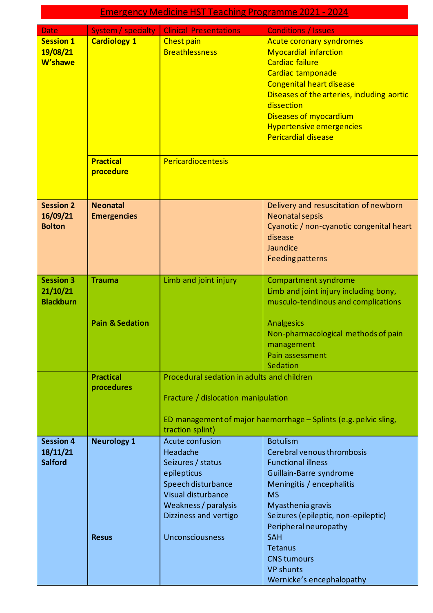| <b>Emergency Medicine HST Teaching Programme 2021 - 2024</b> |                                                                                                                                                                                        |                                                                                                                                                                                                                                                                                                                                      |  |
|--------------------------------------------------------------|----------------------------------------------------------------------------------------------------------------------------------------------------------------------------------------|--------------------------------------------------------------------------------------------------------------------------------------------------------------------------------------------------------------------------------------------------------------------------------------------------------------------------------------|--|
| System / specialty                                           | <b>Clinical Presentations</b>                                                                                                                                                          | <b>Conditions / Issues</b>                                                                                                                                                                                                                                                                                                           |  |
| <b>Cardiology 1</b>                                          | Chest pain<br><b>Breathlessness</b>                                                                                                                                                    | <b>Acute coronary syndromes</b><br><b>Myocardial infarction</b><br><b>Cardiac failure</b><br>Cardiac tamponade<br><b>Congenital heart disease</b><br>Diseases of the arteries, including aortic<br>dissection<br>Diseases of myocardium<br><b>Hypertensive emergencies</b><br><b>Pericardial disease</b>                             |  |
| <b>Practical</b><br>procedure                                | Pericardiocentesis                                                                                                                                                                     |                                                                                                                                                                                                                                                                                                                                      |  |
| <b>Neonatal</b><br><b>Emergencies</b>                        |                                                                                                                                                                                        | Delivery and resuscitation of newborn<br><b>Neonatal sepsis</b><br>Cyanotic / non-cyanotic congenital heart<br>disease<br>Jaundice<br><b>Feeding patterns</b>                                                                                                                                                                        |  |
| <b>Trauma</b><br><b>Pain &amp; Sedation</b>                  | Limb and joint injury                                                                                                                                                                  | <b>Compartment syndrome</b><br>Limb and joint injury including bony,<br>musculo-tendinous and complications<br><b>Analgesics</b><br>Non-pharmacological methods of pain<br>management<br>Pain assessment<br>Sedation                                                                                                                 |  |
| <b>Practical</b><br>procedures                               | Procedural sedation in adults and children<br>Fracture / dislocation manipulation<br>traction splint)                                                                                  | ED management of major haemorrhage - Splints (e.g. pelvic sling,                                                                                                                                                                                                                                                                     |  |
| <b>Neurology 1</b><br><b>Resus</b>                           | <b>Acute confusion</b><br>Headache<br>Seizures / status<br>epilepticus<br>Speech disturbance<br>Visual disturbance<br>Weakness / paralysis<br>Dizziness and vertigo<br>Unconsciousness | <b>Botulism</b><br>Cerebral venous thrombosis<br><b>Functional illness</b><br>Guillain-Barre syndrome<br>Meningitis / encephalitis<br><b>MS</b><br>Myasthenia gravis<br>Seizures (epileptic, non-epileptic)<br>Peripheral neuropathy<br><b>SAH</b><br>Tetanus<br><b>CNS tumours</b><br><b>VP shunts</b><br>Wernicke's encephalopathy |  |
|                                                              |                                                                                                                                                                                        |                                                                                                                                                                                                                                                                                                                                      |  |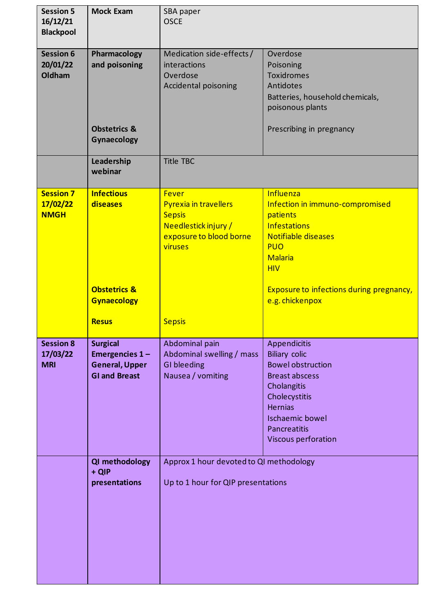| <b>Session 5</b><br>16/12/21<br><b>Blackpool</b> | <b>Mock Exam</b>                       | SBA paper<br><b>OSCE</b>                |                                                             |
|--------------------------------------------------|----------------------------------------|-----------------------------------------|-------------------------------------------------------------|
|                                                  |                                        |                                         |                                                             |
| <b>Session 6</b>                                 | Pharmacology                           | Medication side-effects/                | Overdose                                                    |
| 20/01/22                                         | and poisoning                          | interactions                            | Poisoning                                                   |
| Oldham                                           |                                        | Overdose                                | <b>Toxidromes</b>                                           |
|                                                  |                                        | Accidental poisoning                    | Antidotes                                                   |
|                                                  |                                        |                                         | Batteries, household chemicals,                             |
|                                                  |                                        |                                         | poisonous plants                                            |
|                                                  |                                        |                                         |                                                             |
|                                                  | <b>Obstetrics &amp;</b><br>Gynaecology |                                         | Prescribing in pregnancy                                    |
|                                                  |                                        |                                         |                                                             |
|                                                  | Leadership<br>webinar                  | <b>Title TBC</b>                        |                                                             |
| <b>Session 7</b>                                 | <b>Infectious</b>                      | <b>Fever</b>                            | Influenza                                                   |
| 17/02/22                                         | diseases                               | Pyrexia in travellers                   | Infection in immuno-compromised                             |
| <b>NMGH</b>                                      |                                        | <b>Sepsis</b>                           | patients                                                    |
|                                                  |                                        | Needlestick injury /                    | <b>Infestations</b>                                         |
|                                                  |                                        | exposure to blood borne                 | <b>Notifiable diseases</b>                                  |
|                                                  |                                        | viruses                                 | <b>PUO</b>                                                  |
|                                                  |                                        |                                         | <b>Malaria</b>                                              |
|                                                  |                                        |                                         | <b>HIV</b>                                                  |
|                                                  | <b>Obstetrics &amp;</b>                |                                         |                                                             |
|                                                  | <b>Gynaecology</b>                     |                                         | Exposure to infections during pregnancy,<br>e.g. chickenpox |
|                                                  |                                        |                                         |                                                             |
|                                                  | <b>Resus</b>                           | <b>Sepsis</b>                           |                                                             |
| <b>Session 8</b>                                 | <b>Surgical</b>                        | Abdominal pain                          | Appendicitis                                                |
| 17/03/22                                         | Emergencies 1-                         | Abdominal swelling / mass               | <b>Biliary colic</b>                                        |
| <b>MRI</b>                                       | <b>General, Upper</b>                  | <b>GI</b> bleeding                      | <b>Bowel obstruction</b>                                    |
|                                                  | <b>GI and Breast</b>                   | Nausea / vomiting                       | <b>Breast abscess</b>                                       |
|                                                  |                                        |                                         | Cholangitis                                                 |
|                                                  |                                        |                                         | Cholecystitis                                               |
|                                                  |                                        |                                         | <b>Hernias</b>                                              |
|                                                  |                                        |                                         | <b>Ischaemic bowel</b>                                      |
|                                                  |                                        |                                         | Pancreatitis                                                |
|                                                  |                                        |                                         | Viscous perforation                                         |
|                                                  | QI methodology                         | Approx 1 hour devoted to QI methodology |                                                             |
|                                                  | + QIP                                  |                                         |                                                             |
|                                                  |                                        |                                         |                                                             |
|                                                  |                                        |                                         |                                                             |
|                                                  | presentations                          | Up to 1 hour for QIP presentations      |                                                             |
|                                                  |                                        |                                         |                                                             |
|                                                  |                                        |                                         |                                                             |
|                                                  |                                        |                                         |                                                             |
|                                                  |                                        |                                         |                                                             |
|                                                  |                                        |                                         |                                                             |
|                                                  |                                        |                                         |                                                             |
|                                                  |                                        |                                         |                                                             |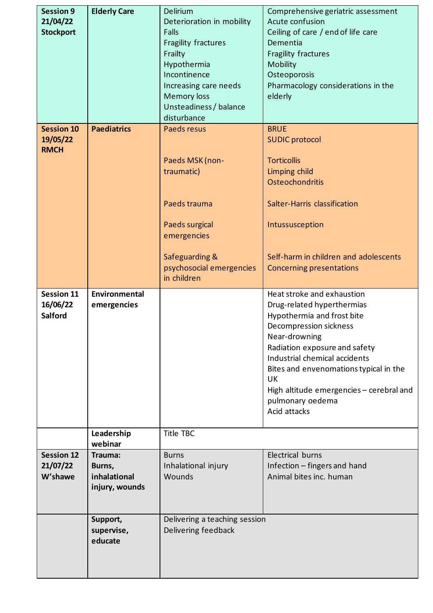| <b>Session 9</b><br>21/04/22<br><b>Stockport</b> | <b>Elderly Care</b>                                 | Delirium<br>Deterioration in mobility<br>Falls<br>Fragility fractures<br>Frailty<br>Hypothermia<br>Incontinence<br>Increasing care needs<br><b>Memory loss</b><br>Unsteadiness / balance<br>disturbance | Comprehensive geriatric assessment<br>Acute confusion<br>Ceiling of care / end of life care<br>Dementia<br>Fragility fractures<br>Mobility<br>Osteoporosis<br>Pharmacology considerations in the<br>elderly                                                                                                                         |
|--------------------------------------------------|-----------------------------------------------------|---------------------------------------------------------------------------------------------------------------------------------------------------------------------------------------------------------|-------------------------------------------------------------------------------------------------------------------------------------------------------------------------------------------------------------------------------------------------------------------------------------------------------------------------------------|
| <b>Session 10</b><br>19/05/22<br><b>RMCH</b>     | <b>Paediatrics</b>                                  | Paeds resus<br>Paeds MSK (non-<br>traumatic)<br>Paeds trauma<br>Paeds surgical<br>emergencies<br>Safeguarding &<br>psychosocial emergencies                                                             | <b>BRUE</b><br><b>SUDIC protocol</b><br><b>Torticollis</b><br>Limping child<br>Osteochondritis<br>Salter-Harris classification<br>Intussusception<br>Self-harm in children and adolescents<br><b>Concerning presentations</b>                                                                                                       |
|                                                  |                                                     | in children                                                                                                                                                                                             |                                                                                                                                                                                                                                                                                                                                     |
| <b>Session 11</b><br>16/06/22<br><b>Salford</b>  | Environmental<br>emergencies                        |                                                                                                                                                                                                         | Heat stroke and exhaustion<br>Drug-related hyperthermias<br>Hypothermia and frost bite<br>Decompression sickness<br>Near-drowning<br>Radiation exposure and safety<br>Industrial chemical accidents<br>Bites and envenomations typical in the<br>UK<br>High altitude emergencies - cerebral and<br>pulmonary oedema<br>Acid attacks |
|                                                  | Leadership<br>webinar                               | <b>Title TBC</b>                                                                                                                                                                                        |                                                                                                                                                                                                                                                                                                                                     |
| <b>Session 12</b><br>21/07/22<br>W'shawe         | Trauma:<br>Burns,<br>inhalational<br>injury, wounds | <b>Burns</b><br>Inhalational injury<br>Wounds                                                                                                                                                           | Electrical burns<br>Infection - fingers and hand<br>Animal bites inc. human                                                                                                                                                                                                                                                         |
|                                                  | Support,<br>supervise,<br>educate                   | Delivering a teaching session<br>Delivering feedback                                                                                                                                                    |                                                                                                                                                                                                                                                                                                                                     |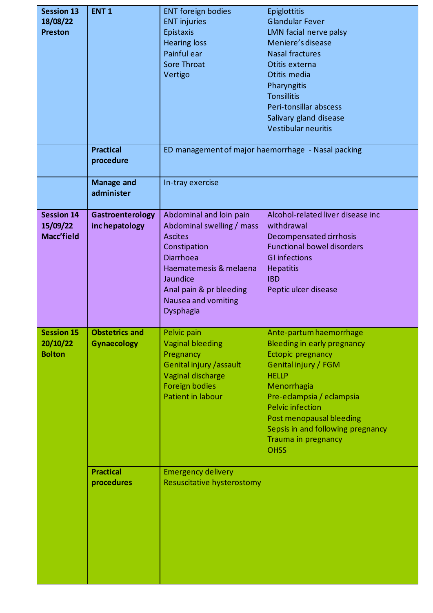| <b>Session 13</b><br>18/08/22<br><b>Preston</b> | ENT <sub>1</sub>                            | <b>ENT foreign bodies</b><br><b>ENT injuries</b><br>Epistaxis<br><b>Hearing loss</b><br>Painful ear<br><b>Sore Throat</b><br>Vertigo                                                                            | Epiglottitis<br><b>Glandular Fever</b><br>LMN facial nerve palsy<br>Meniere's disease<br><b>Nasal fractures</b><br>Otitis externa<br>Otitis media<br>Pharyngitis<br><b>Tonsillitis</b><br>Peri-tonsillar abscess<br>Salivary gland disease<br><b>Vestibular neuritis</b>                          |
|-------------------------------------------------|---------------------------------------------|-----------------------------------------------------------------------------------------------------------------------------------------------------------------------------------------------------------------|---------------------------------------------------------------------------------------------------------------------------------------------------------------------------------------------------------------------------------------------------------------------------------------------------|
|                                                 | <b>Practical</b><br>procedure               |                                                                                                                                                                                                                 | ED management of major haemorrhage - Nasal packing                                                                                                                                                                                                                                                |
|                                                 | <b>Manage and</b><br>administer             | In-tray exercise                                                                                                                                                                                                |                                                                                                                                                                                                                                                                                                   |
| <b>Session 14</b><br>15/09/22<br>Macc'field     | Gastroenterology<br>inc hepatology          | Abdominal and loin pain<br>Abdominal swelling / mass<br><b>Ascites</b><br>Constipation<br><b>Diarrhoea</b><br>Haematemesis & melaena<br>Jaundice<br>Anal pain & pr bleeding<br>Nausea and vomiting<br>Dysphagia | Alcohol-related liver disease inc<br>withdrawal<br>Decompensated cirrhosis<br><b>Functional bowel disorders</b><br><b>GI infections</b><br><b>Hepatitis</b><br><b>IBD</b><br>Peptic ulcer disease                                                                                                 |
| <b>Session 15</b><br>20/10/22<br><b>Bolton</b>  | <b>Obstetrics and</b><br><b>Gynaecology</b> | Pelvic pain<br><b>Vaginal bleeding</b><br>Pregnancy<br>Genital injury / assault<br>Vaginal discharge<br><b>Foreign bodies</b><br>Patient in labour                                                              | Ante-partum haemorrhage<br>Bleeding in early pregnancy<br>Ectopic pregnancy<br>Genital injury / FGM<br><b>HELLP</b><br>Menorrhagia<br>Pre-eclampsia / eclampsia<br><b>Pelvic infection</b><br>Post menopausal bleeding<br>Sepsis in and following pregnancy<br>Trauma in pregnancy<br><b>OHSS</b> |
|                                                 | <b>Practical</b><br>procedures              | <b>Emergency delivery</b><br>Resuscitative hysterostomy                                                                                                                                                         |                                                                                                                                                                                                                                                                                                   |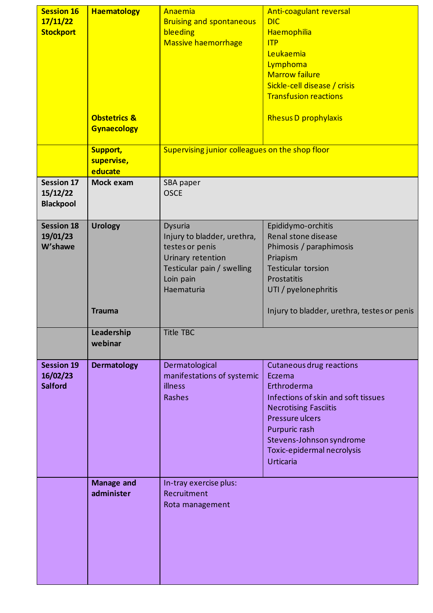| <b>Session 16</b><br>17/11/22<br><b>Stockport</b> | <b>Haematology</b><br><b>Obstetrics &amp;</b><br><b>Gynaecology</b> | <b>Anaemia</b><br><b>Bruising and spontaneous</b><br>bleeding<br><b>Massive haemorrhage</b>                                             | <b>Anti-coagulant reversal</b><br><b>DIC</b><br>Haemophilia<br>ITP<br>Leukaemia<br>Lymphoma<br><b>Marrow failure</b><br>Sickle-cell disease / crisis<br><b>Transfusion reactions</b><br><b>Rhesus D prophylaxis</b>                               |
|---------------------------------------------------|---------------------------------------------------------------------|-----------------------------------------------------------------------------------------------------------------------------------------|---------------------------------------------------------------------------------------------------------------------------------------------------------------------------------------------------------------------------------------------------|
|                                                   | <b>Support,</b><br>supervise,<br>educate                            | Supervising junior colleagues on the shop floor                                                                                         |                                                                                                                                                                                                                                                   |
| <b>Session 17</b><br>15/12/22<br><b>Blackpool</b> | Mock exam                                                           | SBA paper<br><b>OSCE</b>                                                                                                                |                                                                                                                                                                                                                                                   |
| <b>Session 18</b><br>19/01/23<br>W'shawe          | <b>Urology</b>                                                      | Dysuria<br>Injury to bladder, urethra,<br>testes or penis<br>Urinary retention<br>Testicular pain / swelling<br>Loin pain<br>Haematuria | Epididymo-orchitis<br>Renal stone disease<br>Phimosis / paraphimosis<br>Priapism<br><b>Testicular torsion</b><br>Prostatitis<br>UTI / pyelonephritis                                                                                              |
|                                                   | <b>Trauma</b>                                                       |                                                                                                                                         | Injury to bladder, urethra, testes or penis                                                                                                                                                                                                       |
|                                                   | Leadership<br>webinar                                               | <b>Title TBC</b>                                                                                                                        |                                                                                                                                                                                                                                                   |
| <b>Session 19</b><br>16/02/23<br><b>Salford</b>   | <b>Dermatology</b>                                                  | Dermatological<br>manifestations of systemic<br>illness<br>Rashes                                                                       | <b>Cutaneous drug reactions</b><br>Eczema<br>Erthroderma<br>Infections of skin and soft tissues<br><b>Necrotising Fasciitis</b><br>Pressure ulcers<br>Purpuric rash<br>Stevens-Johnson syndrome<br>Toxic-epidermal necrolysis<br><b>Urticaria</b> |
|                                                   | <b>Manage and</b><br>administer                                     | In-tray exercise plus:<br>Recruitment<br>Rota management                                                                                |                                                                                                                                                                                                                                                   |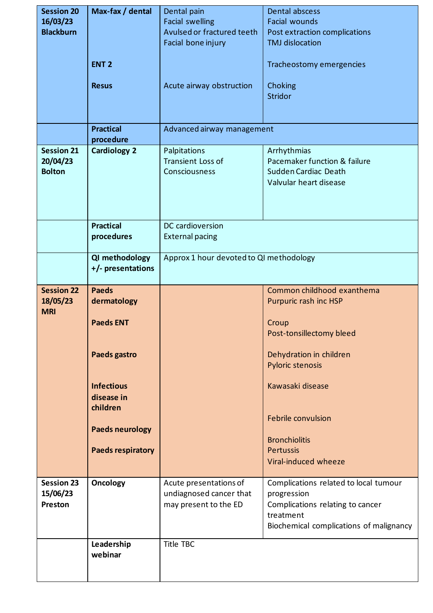| <b>Session 20</b><br>16/03/23<br><b>Blackburn</b> | Max-fax / dental<br><b>ENT 2</b><br><b>Resus</b>   | Dental pain<br><b>Facial swelling</b><br>Avulsed or fractured teeth<br>Facial bone injury<br>Acute airway obstruction | Dental abscess<br><b>Facial wounds</b><br>Post extraction complications<br><b>TMJ</b> dislocation<br>Tracheostomy emergencies<br>Choking<br><b>Stridor</b> |
|---------------------------------------------------|----------------------------------------------------|-----------------------------------------------------------------------------------------------------------------------|------------------------------------------------------------------------------------------------------------------------------------------------------------|
|                                                   | <b>Practical</b><br>procedure                      | Advanced airway management                                                                                            |                                                                                                                                                            |
| <b>Session 21</b>                                 | <b>Cardiology 2</b>                                | Palpitations                                                                                                          | Arrhythmias                                                                                                                                                |
| 20/04/23<br><b>Bolton</b>                         |                                                    | <b>Transient Loss of</b><br>Consciousness                                                                             | Pacemaker function & failure<br>Sudden Cardiac Death<br>Valvular heart disease                                                                             |
|                                                   | <b>Practical</b><br>procedures                     | DC cardioversion<br><b>External pacing</b>                                                                            |                                                                                                                                                            |
|                                                   | QI methodology<br>+/- presentations                | Approx 1 hour devoted to QI methodology                                                                               |                                                                                                                                                            |
| <b>Session 22</b>                                 | <b>Paeds</b>                                       |                                                                                                                       | Common childhood exanthema                                                                                                                                 |
| 18/05/23<br><b>MRI</b>                            | dermatology<br><b>Paeds ENT</b><br>Paeds gastro    |                                                                                                                       | Purpuric rash inc HSP<br>Croup<br>Post-tonsillectomy bleed<br>Dehydration in children<br>Pyloric stenosis                                                  |
|                                                   | <b>Infectious</b><br>disease in<br>children        |                                                                                                                       | Kawasaki disease                                                                                                                                           |
|                                                   | <b>Paeds neurology</b><br><b>Paeds respiratory</b> |                                                                                                                       | Febrile convulsion<br><b>Bronchiolitis</b><br><b>Pertussis</b>                                                                                             |
|                                                   |                                                    |                                                                                                                       | Viral-induced wheeze                                                                                                                                       |
| <b>Session 23</b><br>15/06/23<br>Preston          | Oncology                                           | Acute presentations of<br>undiagnosed cancer that<br>may present to the ED                                            | Complications related to local tumour<br>progression<br>Complications relating to cancer<br>treatment<br>Biochemical complications of malignancy           |
|                                                   | Leadership<br>webinar                              | <b>Title TBC</b>                                                                                                      |                                                                                                                                                            |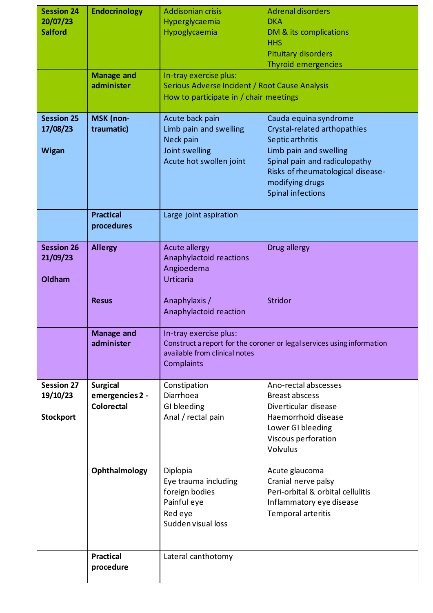| <b>Session 24</b>          | <b>Endocrinology</b>                 | <b>Addisonian crisis</b>                                                 | <b>Adrenal disorders</b><br><b>DKA</b>                                 |
|----------------------------|--------------------------------------|--------------------------------------------------------------------------|------------------------------------------------------------------------|
| 20/07/23<br><b>Salford</b> |                                      | Hyperglycaemia<br>Hypoglycaemia                                          | DM & its complications                                                 |
|                            |                                      |                                                                          | <b>HHS</b>                                                             |
|                            |                                      |                                                                          | <b>Pituitary disorders</b>                                             |
|                            |                                      |                                                                          | Thyroid emergencies                                                    |
|                            | <b>Manage and</b><br>administer      | In-tray exercise plus:<br>Serious Adverse Incident / Root Cause Analysis |                                                                        |
|                            |                                      | How to participate in / chair meetings                                   |                                                                        |
|                            |                                      |                                                                          |                                                                        |
| <b>Session 25</b>          | MSK (non-                            | Acute back pain                                                          | Cauda equina syndrome                                                  |
| 17/08/23                   | traumatic)                           | Limb pain and swelling<br>Neck pain                                      | Crystal-related arthopathies<br>Septic arthritis                       |
| <b>Wigan</b>               |                                      | Joint swelling                                                           | Limb pain and swelling                                                 |
|                            |                                      | Acute hot swollen joint                                                  | Spinal pain and radiculopathy                                          |
|                            |                                      |                                                                          | Risks of rheumatological disease-                                      |
|                            |                                      |                                                                          | modifying drugs                                                        |
|                            |                                      |                                                                          | Spinal infections                                                      |
|                            | <b>Practical</b>                     | Large joint aspiration                                                   |                                                                        |
|                            | procedures                           |                                                                          |                                                                        |
| <b>Session 26</b>          | <b>Allergy</b>                       | Acute allergy                                                            | Drug allergy                                                           |
| 21/09/23                   |                                      | Anaphylactoid reactions                                                  |                                                                        |
|                            |                                      | Angioedema                                                               |                                                                        |
| Oldham                     |                                      | <b>Urticaria</b>                                                         |                                                                        |
|                            | <b>Resus</b>                         | Anaphylaxis /                                                            | <b>Stridor</b>                                                         |
|                            |                                      | Anaphylactoid reaction                                                   |                                                                        |
|                            |                                      |                                                                          |                                                                        |
|                            | <b>Manage and</b>                    | In-tray exercise plus:                                                   |                                                                        |
|                            | administer                           | available from clinical notes                                            | Construct a report for the coroner or legal services using information |
|                            |                                      | Complaints                                                               |                                                                        |
|                            |                                      |                                                                          |                                                                        |
| <b>Session 27</b>          | <b>Surgical</b>                      | Constipation<br>Diarrhoea                                                | Ano-rectal abscesses<br><b>Breast abscess</b>                          |
| 19/10/23                   | emergencies 2 -<br><b>Colorectal</b> | GI bleeding                                                              | Diverticular disease                                                   |
| <b>Stockport</b>           |                                      | Anal / rectal pain                                                       | Haemorrhoid disease                                                    |
|                            |                                      |                                                                          | Lower GI bleeding                                                      |
|                            |                                      |                                                                          | Viscous perforation                                                    |
|                            |                                      |                                                                          | Volvulus                                                               |
|                            | Ophthalmology                        | Diplopia                                                                 | Acute glaucoma                                                         |
|                            |                                      | Eye trauma including                                                     | Cranial nerve palsy                                                    |
|                            |                                      | foreign bodies                                                           | Peri-orbital & orbital cellulitis                                      |
|                            |                                      | Painful eye                                                              | Inflammatory eye disease                                               |
|                            |                                      | Red eye<br>Sudden visual loss                                            | Temporal arteritis                                                     |
|                            |                                      |                                                                          |                                                                        |
|                            |                                      |                                                                          |                                                                        |
|                            | <b>Practical</b>                     | Lateral canthotomy                                                       |                                                                        |
|                            | procedure                            |                                                                          |                                                                        |
|                            |                                      |                                                                          |                                                                        |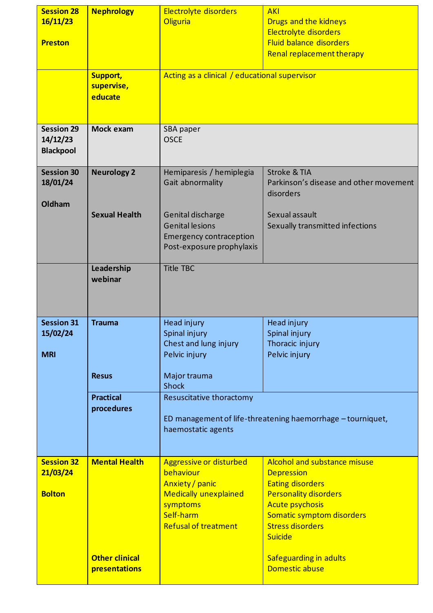| <b>Session 28</b><br>16/11/23<br><b>Preston</b>   | <b>Nephrology</b>                        | Electrolyte disorders<br><b>Oliguria</b>                                                                                                               | <b>AKI</b><br>Drugs and the kidneys<br>Electrolyte disorders<br><b>Fluid balance disorders</b><br>Renal replacement therapy                                                                                             |
|---------------------------------------------------|------------------------------------------|--------------------------------------------------------------------------------------------------------------------------------------------------------|-------------------------------------------------------------------------------------------------------------------------------------------------------------------------------------------------------------------------|
|                                                   | <b>Support,</b><br>supervise,<br>educate | Acting as a clinical / educational supervisor                                                                                                          |                                                                                                                                                                                                                         |
| <b>Session 29</b><br>14/12/23<br><b>Blackpool</b> | Mock exam                                | SBA paper<br><b>OSCE</b>                                                                                                                               |                                                                                                                                                                                                                         |
| <b>Session 30</b><br>18/01/24<br>Oldham           | <b>Neurology 2</b>                       | Hemiparesis / hemiplegia<br>Gait abnormality                                                                                                           | <b>Stroke &amp; TIA</b><br>Parkinson's disease and other movement<br>disorders                                                                                                                                          |
|                                                   | <b>Sexual Health</b>                     | Genital discharge<br><b>Genital lesions</b><br><b>Emergency contraception</b><br>Post-exposure prophylaxis                                             | Sexual assault<br>Sexually transmitted infections                                                                                                                                                                       |
|                                                   | Leadership<br>webinar                    | <b>Title TBC</b>                                                                                                                                       |                                                                                                                                                                                                                         |
| <b>Session 31</b><br>15/02/24<br><b>MRI</b>       | <b>Trauma</b>                            | Head injury<br>Spinal injury<br>Chest and lung injury<br>Pelvic injury                                                                                 | Head injury<br>Spinal injury<br>Thoracic injury<br>Pelvic injury                                                                                                                                                        |
|                                                   | <b>Resus</b>                             | Major trauma<br><b>Shock</b>                                                                                                                           |                                                                                                                                                                                                                         |
|                                                   | <b>Practical</b><br>procedures           | Resuscitative thoractomy<br>ED management of life-threatening haemorrhage - tourniquet,<br>haemostatic agents                                          |                                                                                                                                                                                                                         |
| <b>Session 32</b><br>21/03/24<br><b>Bolton</b>    | <b>Mental Health</b>                     | <b>Aggressive or disturbed</b><br>behaviour<br>Anxiety / panic<br><b>Medically unexplained</b><br>symptoms<br>Self-harm<br><b>Refusal of treatment</b> | <b>Alcohol and substance misuse</b><br><b>Depression</b><br><b>Eating disorders</b><br><b>Personality disorders</b><br><b>Acute psychosis</b><br>Somatic symptom disorders<br><b>Stress disorders</b><br><b>Suicide</b> |
|                                                   | <b>Other clinical</b><br>presentations   |                                                                                                                                                        | Safeguarding in adults<br>Domestic abuse                                                                                                                                                                                |